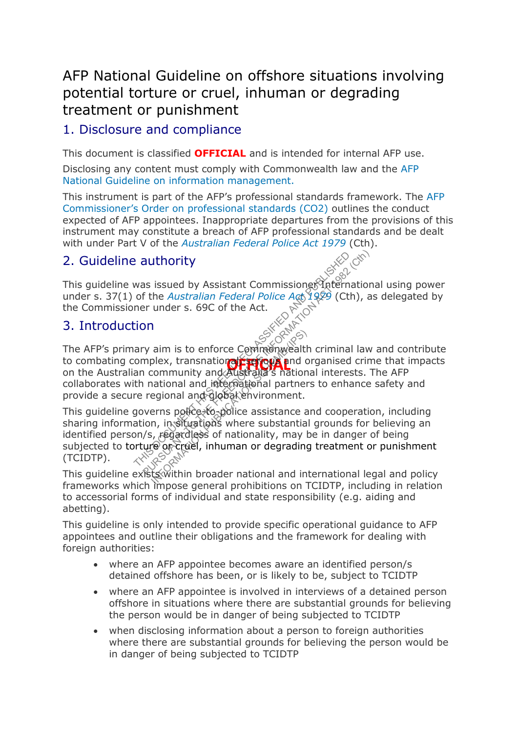# AFP National Guideline on offshore situations involving potential torture or cruel, inhuman or degrading treatment or punishment

## 1. Disclosure and compliance

This document is classified **OFFICIAL** and is intended for internal AFP use.

Disclosing any content must comply with Commonwealth law and the [AFP](http://afphub.afp.le/GovernanceFramework/NationalGuideline/Pages/NAT14054.aspx)  [National Guideline on information](http://afphub.afp.le/GovernanceFramework/NationalGuideline/Pages/NAT14054.aspx) management.

This instrument is part of the AFP's professional standards framework. The [AFP](http://afphub.afp.le/GovernanceFramework/CommissionersOrder/Pages/PC00002.aspx)  [Commissioner's Order on professional standards \(CO2\)](http://afphub.afp.le/GovernanceFramework/CommissionersOrder/Pages/PC00002.aspx) outlines the conduct expected of AFP appointees. Inappropriate departures from the provisions of this instrument may constitute a breach of AFP professional standards and be dealt with under Part V of the *[Australian Federal Police Act 1979](http://www.comlaw.gov.au/Series/C2004A02068)* (Cth).

# 2. Guideline authority

This guideline was issued by Assistant Commissioner This guideline was issued by Assistant Commissioner under s. 37(1) of the *Australian Federal Police Act* 1929 (Cth), as delegated by the Commissioner under s. 69C of the Act.

### 3. Introduction

to combating complex, transnational **region** and organised crime that impacts<br>on the Australian community and Australia's national interests. The AFP The AFP's primary aim is to enforce Commonwealth criminal law and contribute on the Australian community and Australia's national interests. The AFP collaborates with national and international partners to enhance safety and provide a secure regional and global environment. **Example 2** authority<br>
was issued by Assistant Commissiones Thermation<br>
of the *Australian Federal Police Act* 1989 (Cth), as<br>
ner under s. 69C of the Act.<br>
iion<br>
ary aim is to enforce Commonwealth criminal law<br>
complex, aim is to enforce Community<br>Dlex, transnation of the red and community and community and a station<br>actional and international partner<br>egional and global environment.<br>erns police to police assistance a<br>n, in situations wher

This guideline governs police to-police assistance and cooperation, including sharing information, in situations where substantial grounds for believing an identified person/s, regardless of nationality, may be in danger of being subjected to torture or cruel, inhuman or degrading treatment or punishment (TCIDTP).

This quideline exists within broader national and international legal and policy frameworks which impose general prohibitions on TCIDTP, including in relation to accessorial forms of individual and state responsibility (e.g. aiding and abetting).

This guideline is only intended to provide specific operational guidance to AFP appointees and outline their obligations and the framework for dealing with foreign authorities:

- where an AFP appointee becomes aware an identified person/s detained offshore has been, or is likely to be, subject to TCIDTP
- where an AFP appointee is involved in interviews of a detained person offshore in situations where there are substantial grounds for believing the person would be in danger of being subjected to TCIDTP
- when disclosing information about a person to foreign authorities where there are substantial grounds for believing the person would be in danger of being subjected to TCIDTP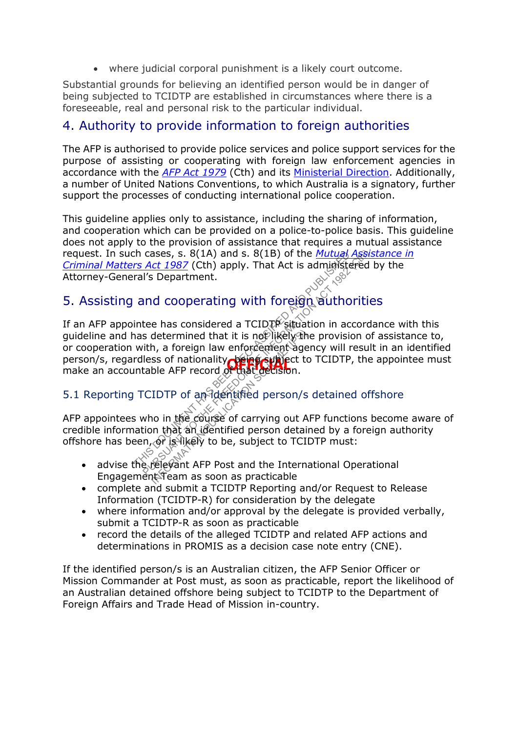where judicial corporal punishment is a likely court outcome.

Substantial grounds for believing an identified person would be in danger of being subjected to TCIDTP are established in circumstances where there is a foreseeable, real and personal risk to the particular individual.

### 4. Authority to provide information to foreign authorities

The AFP is authorised to provide police services and police support services for the purpose of assisting or cooperating with foreign law enforcement agencies in accordance with the *[AFP Act 1979](http://www.comlaw.gov.au/Series/C2004A02068)* (Cth) and its [Ministerial Direction.](http://afphub.afp.le/communication/ministerial/Documents/MinisterialDirection.pdf) Additionally, a number of United Nations Conventions, to which Australia is a signatory, further support the processes of conducting international police cooperation.

This guideline applies only to assistance, including the sharing of information, and cooperation which can be provided on a police-to-police basis. This guideline does not apply to the provision of assistance that requires a mutual assistance request. In such cases, s. 8(1A) and s. 8(1B) of the *[Mutual Assistance in](http://www.comlaw.gov.au/Series/C2004A03494)  [Criminal Matters Act 1987](http://www.comlaw.gov.au/Series/C2004A03494)* (Cth) apply. That Act is administered by the Attorney-General's Department.

# 5. Assisting and cooperating with foreign authorities

person/s, regardless of nationality **being subject to TCIDTP**, the appointee must<br>make an accountable AFP record of that decision. If an AFP appointee has considered a TCIDTP situation in accordance with this guideline and has determined that it is not likely the provision of assistance to, or cooperation with, a foreign law enforcement agency will result in an identified make an accountable AFP record of that decision. The cases of the second of the *Mutual Assis*<br>
The *Act 1987* (Cth) apply. That Act is administered ral's Department.<br>
and cooperating with foreign authoritie<br>
intee has considered a TCIDTP situation in accordans determin determined that it is not likely the<br>
In a foreign law enforcement age<br>
ss of nationality of that decision.<br>
IDTP of an identified person/s<br>
IDTP of an identified person/s<br>
no in the course of carrying out A<br>
in that an id

# 5.1 Reporting TCIDTP of an identified person/s detained offshore

AFP appointees who in the course of carrying out AFP functions become aware of credible information that an identified person detained by a foreign authority offshore has been, or is likely to be, subject to TCIDTP must:

- advise the relevant AFP Post and the International Operational advise the relevant AFP Post and the International Operational Engagement Team as soon as practicable
- complete and submit a TCIDTP Reporting and/or Request to Release Information (TCIDTP-R) for consideration by the delegate
- where information and/or approval by the delegate is provided verbally, submit a TCIDTP-R as soon as practicable
- record the details of the alleged TCIDTP and related AFP actions and determinations in PROMIS as a decision case note entry (CNE).

If the identified person/s is an Australian citizen, the AFP Senior Officer or Mission Commander at Post must, as soon as practicable, report the likelihood of an Australian detained offshore being subject to TCIDTP to the Department of Foreign Affairs and Trade Head of Mission in-country.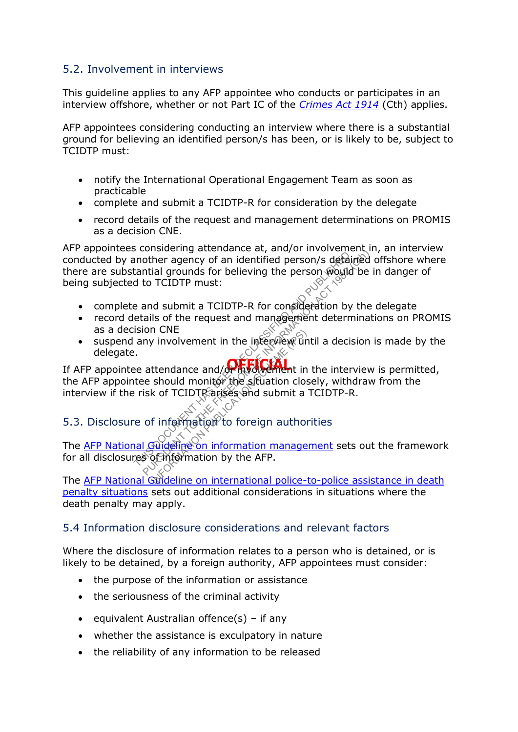### 5.2. Involvement in interviews

This guideline applies to any AFP appointee who conducts or participates in an interview offshore, whether or not Part IC of the *[Crimes Act 1914](http://www.comlaw.gov.au/Series/C2004A07391)* (Cth) applies.

AFP appointees considering conducting an interview where there is a substantial ground for believing an identified person/s has been, or is likely to be, subject to TCIDTP must:

- notify the International Operational Engagement Team as soon as practicable
- complete and submit a TCIDTP-R for consideration by the delegate
- record details of the request and management determinations on PROMIS as a decision CNE.

AFP appointees considering attendance at, and/or involvement in, an interview conducted by another agency of an identified person/s detained offshore where there are substantial grounds for believing the person would be in danger of being subjected to TCIDTP must: The manufacture of an identified person is defaint<br>tantial grounds for believing the person would<br>d to TCIDTP must:<br>e and submit a TCIDTP-R for consideration by<br>etails of the request and management determ<br>ision CNE<br>any inv Considering ditendance at, and of involvement of<br>other agency of an identified person would be intial grounds for believing the person would be it<br>to TCIDTP must:<br>and submit a TCIDTP-R for consideration by the<br>calls of the

- complete and submit a TCIDTP-R for consideration by the delegate
- record details of the request and management determinations on PROMIS as a decision CNE
- $\bullet$  suspend any involvement in the interview until a decision is made by the delegate.

If AFP appointee attendance and/or involvement in the interview is permitted, the AFP appointee should monitor the situation closely, withdraw from the interview if the risk of TCIDTP arises and submit a TCIDTP-R. In CINE<br>
Throublement in the interview of<br>
Ittendance and/**on** involvement in<br>
should monitor the situation clos<br>
k of TCIDTR arises and submit a<br>
f information of oreign author<br> **Fulled internation** by the AFP.

# 5.3. Disclosure of information to foreign authorities

The [AFP National Guideline on information management](http://afphub.afp.le/GovernanceFramework/NationalGuideline/Pages/NAT14054.aspx) sets out the framework for all disclosures of information by the AFP.

The AFP National Guideline on international police-to-police assistance in death penalty [situations](http://afphub.afp.le/GovernanceFramework/NationalGuideline/Pages/NAT12011.aspx) sets out additional considerations in situations where the death penalty may apply.

#### 5.4 Information disclosure considerations and relevant factors

Where the disclosure of information relates to a person who is detained, or is likely to be detained, by a foreign authority, AFP appointees must consider:

- the purpose of the information or assistance
- the seriousness of the criminal activity
- e equivalent Australian offence(s) if any
- whether the assistance is exculpatory in nature
- the reliability of any information to be released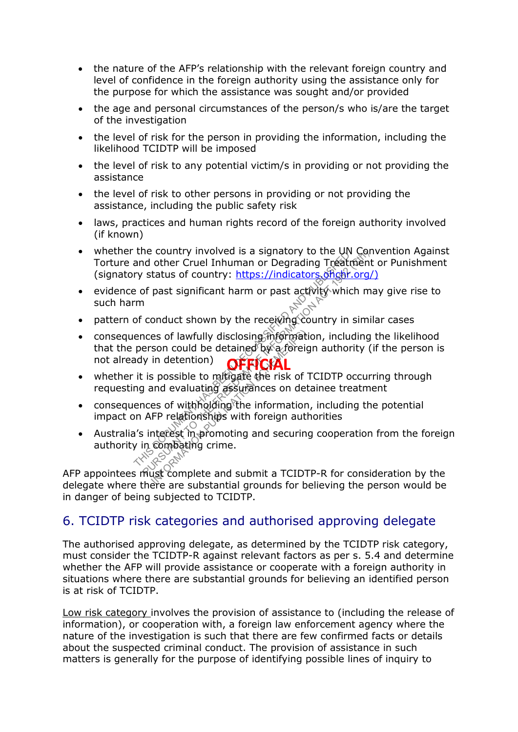- the nature of the AFP's relationship with the relevant foreign country and level of confidence in the foreign authority using the assistance only for the purpose for which the assistance was sought and/or provided
- the age and personal circumstances of the person/s who is/are the target of the investigation
- the level of risk for the person in providing the information, including the likelihood TCIDTP will be imposed
- the level of risk to any potential victim/s in providing or not providing the assistance
- the level of risk to other persons in providing or not providing the assistance, including the public safety risk
- laws, practices and human rights record of the foreign authority involved (if known)
- whether the country involved is a signatory to the UN Convention Against Torture and other Cruel Inhuman or Degrading Treatment or Punishment (signatory status of country: https://indicators.ohchr.org/)
- evidence of past significant harm or past activity which may give rise to such harm
- pattern of conduct shown by the receiving country in similar cases
- **OFFICIAL** • consequences of lawfully disclosing information, including the likelihood that the person could be detained by a foreign authority (if the person is not already in detention) • consequences of lawfully disclosing migrine including the likelihood<br>that the person could be detained by a foreign authority (if the person is<br>not already in detention)<br>• whether it is possible to mitigate the risk of the country involved is a signatory to the own<br>and other Cruel Inhuman or Degrading Treating<br>ry status of country: https://indicators.official.htm<br>e of past significant harm or past activity which<br>m<br>of conduct shown by the The country involved is a signatory to the UN Condition of the Cruel Inhuman or Degrading Treatment<br>
status of country: https://indicators.offgh.org/<br>
of past significant harm or past activity which may<br>
conduct shown by t
	- whether it is possible to mitigate the risk of TCIDTP occurring through requesting and evaluating assurances on detainee treatment
	- consequences of with holding the information, including the potential impact on AFP relationships with foreign authorities
	- Australia's interest in promoting and securing cooperation from the foreign authority in compating crime.

delegate where there are substantial grounds for believing the person would be in danger of being subjected to TCIDTP.

# 6. TCIDTP risk categories and authorised approving delegate

The authorised approving delegate, as determined by the TCIDTP risk category, must consider the TCIDTP-R against relevant factors as per s. 5.4 and determine whether the AFP will provide assistance or cooperate with a foreign authority in situations where there are substantial grounds for believing an identified person is at risk of TCIDTP.

Low risk category involves the provision of assistance to (including the release of information), or cooperation with, a foreign law enforcement agency where the nature of the investigation is such that there are few confirmed facts or details about the suspected criminal conduct. The provision of assistance in such matters is generally for the purpose of identifying possible lines of inquiry to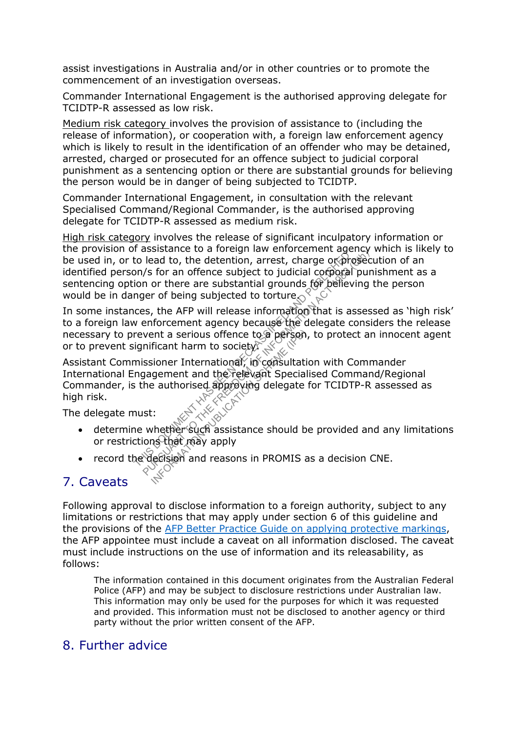assist investigations in Australia and/or in other countries or to promote the commencement of an investigation overseas.

Commander International Engagement is the authorised approving delegate for TCIDTP-R assessed as low risk.

Medium risk category involves the provision of assistance to (including the release of information), or cooperation with, a foreign law enforcement agency which is likely to result in the identification of an offender who may be detained, arrested, charged or prosecuted for an offence subject to judicial corporal punishment as a sentencing option or there are substantial grounds for believing the person would be in danger of being subjected to TCIDTP.

Commander International Engagement, in consultation with the relevant Specialised Command/Regional Commander, is the authorised approving delegate for TCIDTP-R assessed as medium risk.

High risk category involves the release of significant inculpatory information or the provision of assistance to a foreign law enforcement agency which is likely to be used in, or to lead to, the detention, arrest, charge or  $\phi$  rosecution of an identified person/s for an offence subject to judicial corporal punishment as a sentencing option or there are substantial grounds for believing the person would be in danger of being subjected to torture. The system of the detention, arrest, charge oxpressed to the detention of there is upstantial grounds for believing the origin of the are substantial grounds for believing the mager of being subjected to torture of the act

In some instances, the AFP will release information that is assessed as 'high risk' to a foreign law enforcement agency because the delegate considers the release necessary to prevent a serious offence to a person, to protect an innocent agent or to prevent significant harm to society.

Assistant Commissioner International, in consultation with Commander<br>International Engagement and the command Specialised Command/Begic International Engagement and the relevant Specialised Command/Regional Commander, is the authorised approving delegate for TCIDTP-R assessed as high risk. Publicant harm to society)<br>
Ficant harm to society)<br>
Sioner International, in consultation<br>
gement and the relevant Special<br>
authorised approving delegate<br>
authorised approving delegate<br>
...<br>
Whether such assistance should

The delegate must:

- determine whether such assistance should be provided and any limitations or restrictions that may apply
- record the decision and reasons in PROMIS as a decision CNE.

### 7. Caveats

Following approval to disclose information to a foreign authority, subject to any limitations or restrictions that may apply under section 6 of this guideline and the provisions of the [AFP Better Practice Guide on applying protective markings,](http://afphub.afp.le/GovernanceFramework/FunctionalGovernanceCollection/Documents/MIDMA006-BPG-Applying-Protective-Markings.docx) the AFP appointee must include a caveat on all information disclosed. The caveat must include instructions on the use of information and its releasability, as follows:

The information contained in this document originates from the Australian Federal Police (AFP) and may be subject to disclosure restrictions under Australian law. This information may only be used for the purposes for which it was requested and provided. This information must not be disclosed to another agency or third party without the prior written consent of the AFP.

### 8. Further advice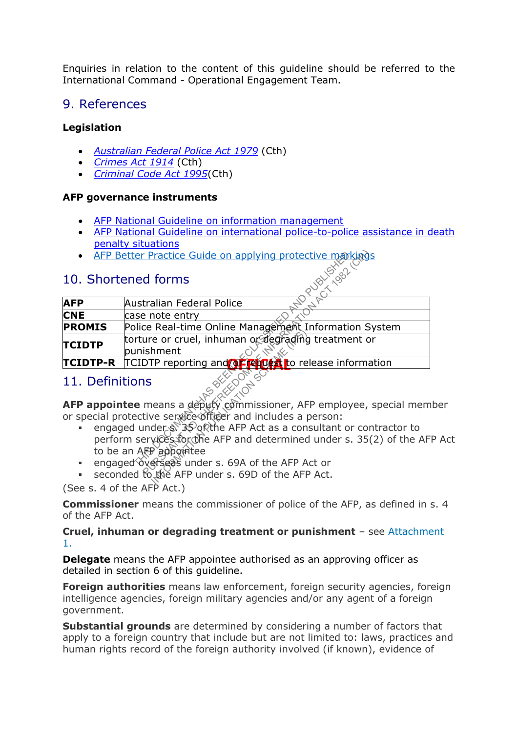Enquiries in relation to the content of this guideline should be referred to the International Command - Operational Engagement Team.

### 9. References

#### **Legislation**

- *[Australian Federal Police Act 1979](http://www.comlaw.gov.au/Series/C2004A02068)* (Cth)
- *[Crimes Act 1914](http://www.comlaw.gov.au/Series/C2004A07391)* (Cth)
- *[Criminal Code Act 1995](https://www.comlaw.gov.au/Series/C2004A04868)*(Cth)

#### **AFP governance instruments**

- [AFP National Guideline on information management](http://afphub.afp.le/GovernanceFramework/NationalGuideline/Pages/NAT14054.aspx)
- [AFP National Guideline on international police-to-police assistance in death](http://afphub.afp.le/GovernanceFramework/NationalGuideline/Pages/NAT12011.aspx)  [penalty situations](http://afphub.afp.le/GovernanceFramework/NationalGuideline/Pages/NAT12011.aspx)
- AFP Better Practice Guide on applying protective markings

### 10. Shortened forms

| <b>AFP Better Practice Guide on applying protective markings</b> |                                                                                                                                                                                                                                                                                                                                                                                                                                 |
|------------------------------------------------------------------|---------------------------------------------------------------------------------------------------------------------------------------------------------------------------------------------------------------------------------------------------------------------------------------------------------------------------------------------------------------------------------------------------------------------------------|
| 19821<br>10. Shortened forms                                     |                                                                                                                                                                                                                                                                                                                                                                                                                                 |
| <b>AFP</b>                                                       | Australian Federal Police                                                                                                                                                                                                                                                                                                                                                                                                       |
| <b>CNE</b>                                                       | case note entry                                                                                                                                                                                                                                                                                                                                                                                                                 |
| <b>PROMIS</b>                                                    | Police Real-time Online Management Information System                                                                                                                                                                                                                                                                                                                                                                           |
| <b>TCIDTP</b>                                                    | torture or cruel, inhuman or degrading treatment or<br>punishment                                                                                                                                                                                                                                                                                                                                                               |
| <b>TCIDTP-R</b>                                                  | TCIDTP reporting and <b>OF FRIO &amp; t</b> o release information                                                                                                                                                                                                                                                                                                                                                               |
| 11. Definitions                                                  |                                                                                                                                                                                                                                                                                                                                                                                                                                 |
|                                                                  | <b>AFP appointee</b> means a deputy commissioner, AFP employee, special mem<br>or special protective service officer and includes a person:<br>engaged under $\sin 35$ of the AFP Act as a consultant or contractor to<br>perform services for the AFP and determined under s. 35(2) of the AF<br>to be an AFP appointee<br>engaged overseas under s. 69A of the AFP Act or<br>seconded to the AFP under s. 69D of the AFP Act. |
|                                                                  |                                                                                                                                                                                                                                                                                                                                                                                                                                 |

# 11. Definitions

- engaged under \$ 35 of the AFP Act as a consultant or contractor to perform services for the AFP and determined under s. 35(2) of the AFP Act to be an AFP appointee
- engaged overseas under s. 69A of the AFP Act or
- seconded to the AFP under s. 69D of the AFP Act.

(See s. 4 of the  $AFP$  Act.)

**Commissioner** means the commissioner of police of the AFP, as defined in s. 4 of the AFP Act.

**Cruel, inhuman or degrading treatment or punishment** – see [Attachment](http://afphub.afp.le/GovernanceFramework/NationalGuideline/Documents/NAT12064_Attachment1.docx)  [1.](http://afphub.afp.le/GovernanceFramework/NationalGuideline/Documents/NAT12064_Attachment1.docx)

**Delegate** means the AFP appointee authorised as an approving officer as detailed in section 6 of this guideline.

**Foreign authorities** means law enforcement, foreign security agencies, foreign intelligence agencies, foreign military agencies and/or any agent of a foreign government.

**Substantial grounds** are determined by considering a number of factors that apply to a foreign country that include but are not limited to: laws, practices and human rights record of the foreign authority involved (if known), evidence of